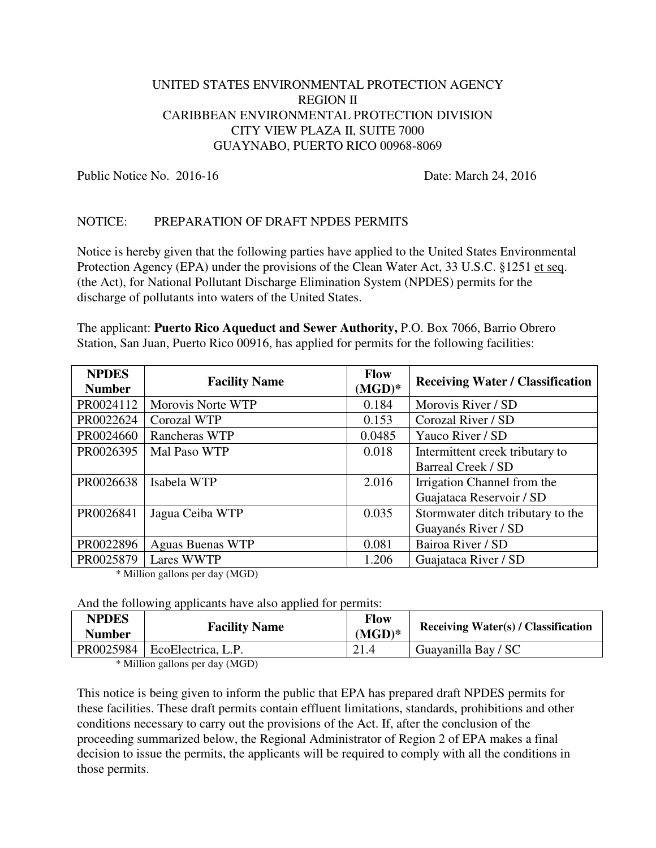## UNITED STATES ENVIRONMENTAL PROTECTION AGENCY REGION II CARIBBEAN ENVIRONMENTAL PROTECTION DIVISION CITY VIEW PLAZA II, SUITE 7000 GUAYNABO, PUERTO RICO 00968-8069

Public Notice No. 2016-16 **Date: March 24, 2016** 

## NOTICE: PREPARATION OF DRAFT NPDES PERMITS

Notice is hereby given that the following parties have applied to the United States Environmental Protection Agency (EPA) under the provisions of the Clean Water Act, 33 U.S.C. §1251 et seq. (the Act), for National Pollutant Discharge Elimination System (NPDES) permits for the discharge of pollutants into waters of the United States.

The applicant: **Puerto Rico Aqueduct and Sewer Authority,** P.O. Box 7066, Barrio Obrero Station, San Juan, Puerto Rico 00916, has applied for permits for the following facilities:

| <b>NPDES</b><br><b>Number</b> | <b>Facility Name</b>    | Flow<br>$(MGD)^*$ | <b>Receiving Water / Classification</b> |
|-------------------------------|-------------------------|-------------------|-----------------------------------------|
| PR0024112                     | Morovis Norte WTP       | 0.184             | Morovis River / SD                      |
| PR0022624                     | Corozal WTP             | 0.153             | Corozal River / SD                      |
| PR0024660                     | Rancheras WTP           | 0.0485            | Yauco River / SD                        |
| PR0026395                     | Mal Paso WTP            | 0.018             | Intermittent creek tributary to         |
|                               |                         |                   | Barreal Creek / SD                      |
| PR0026638                     | Isabela WTP             | 2.016             | Irrigation Channel from the             |
|                               |                         |                   | Guajataca Reservoir / SD                |
| PR0026841                     | Jagua Ceiba WTP         | 0.035             | Stormwater ditch tributary to the       |
|                               |                         |                   | Guayanés River / SD                     |
| PR0022896                     | <b>Aguas Buenas WTP</b> | 0.081             | Bairoa River / SD                       |
| PR0025879                     | Lares WWTP              | 1.206             | Guajataca River / SD                    |

\* Million gallons per day (MGD)

And the following applicants have also applied for permits:

| <b>NPDES</b><br><b>Number</b> | <b>Facility Name</b>           | <b>Flow</b><br>$(MGD)^*$ | <b>Receiving Water(s) / Classification</b> |
|-------------------------------|--------------------------------|--------------------------|--------------------------------------------|
|                               | PR0025984   EcoElectrica, L.P. |                          | Guayanilla Bay / SC                        |

\* Million gallons per day (MGD)

This notice is being given to inform the public that EPA has prepared draft NPDES permits for these facilities. These draft permits contain effluent limitations, standards, prohibitions and other conditions necessary to carry out the provisions of the Act. If, after the conclusion of the proceeding summarized below, the Regional Administrator of Region 2 of EPA makes a final decision to issue the permits, the applicants will be required to comply with all the conditions in those permits.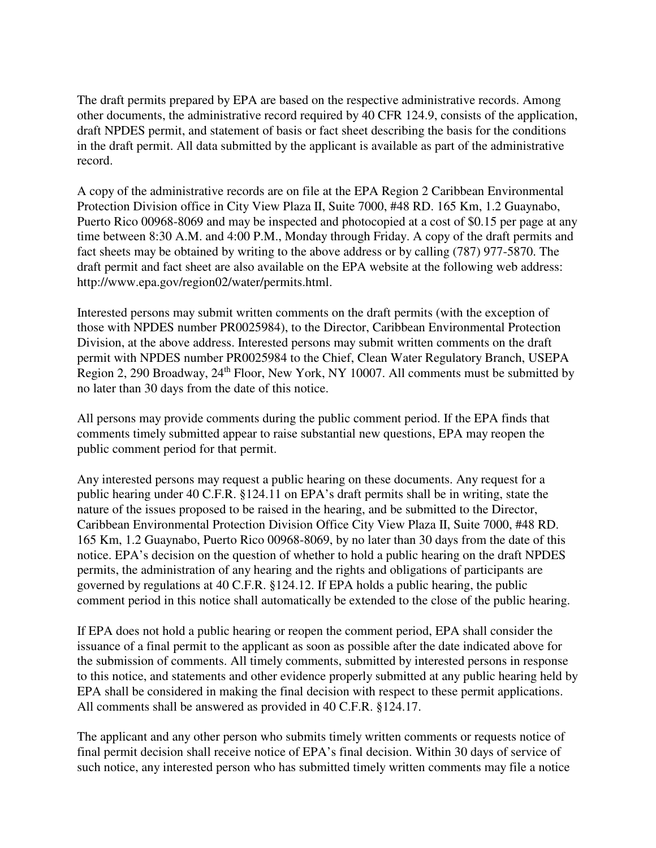The draft permits prepared by EPA are based on the respective administrative records. Among other documents, the administrative record required by 40 CFR 124.9, consists of the application, draft NPDES permit, and statement of basis or fact sheet describing the basis for the conditions in the draft permit. All data submitted by the applicant is available as part of the administrative record.

A copy of the administrative records are on file at the EPA Region 2 Caribbean Environmental Protection Division office in City View Plaza II, Suite 7000, #48 RD. 165 Km, 1.2 Guaynabo, Puerto Rico 00968-8069 and may be inspected and photocopied at a cost of \$0.15 per page at any time between 8:30 A.M. and 4:00 P.M., Monday through Friday. A copy of the draft permits and fact sheets may be obtained by writing to the above address or by calling (787) 977-5870. The draft permit and fact sheet are also available on the EPA website at the following web address: http://www.epa.gov/region02/water/permits.html.

Interested persons may submit written comments on the draft permits (with the exception of those with NPDES number PR0025984), to the Director, Caribbean Environmental Protection Division, at the above address. Interested persons may submit written comments on the draft permit with NPDES number PR0025984 to the Chief, Clean Water Regulatory Branch, USEPA Region 2, 290 Broadway, 24<sup>th</sup> Floor, New York, NY 10007. All comments must be submitted by no later than 30 days from the date of this notice.

All persons may provide comments during the public comment period. If the EPA finds that comments timely submitted appear to raise substantial new questions, EPA may reopen the public comment period for that permit.

Any interested persons may request a public hearing on these documents. Any request for a public hearing under 40 C.F.R. §124.11 on EPA's draft permits shall be in writing, state the nature of the issues proposed to be raised in the hearing, and be submitted to the Director, Caribbean Environmental Protection Division Office City View Plaza II, Suite 7000, #48 RD. 165 Km, 1.2 Guaynabo, Puerto Rico 00968-8069, by no later than 30 days from the date of this notice. EPA's decision on the question of whether to hold a public hearing on the draft NPDES permits, the administration of any hearing and the rights and obligations of participants are governed by regulations at 40 C.F.R. §124.12. If EPA holds a public hearing, the public comment period in this notice shall automatically be extended to the close of the public hearing.

If EPA does not hold a public hearing or reopen the comment period, EPA shall consider the issuance of a final permit to the applicant as soon as possible after the date indicated above for the submission of comments. All timely comments, submitted by interested persons in response to this notice, and statements and other evidence properly submitted at any public hearing held by EPA shall be considered in making the final decision with respect to these permit applications. All comments shall be answered as provided in 40 C.F.R. §124.17.

The applicant and any other person who submits timely written comments or requests notice of final permit decision shall receive notice of EPA's final decision. Within 30 days of service of such notice, any interested person who has submitted timely written comments may file a notice